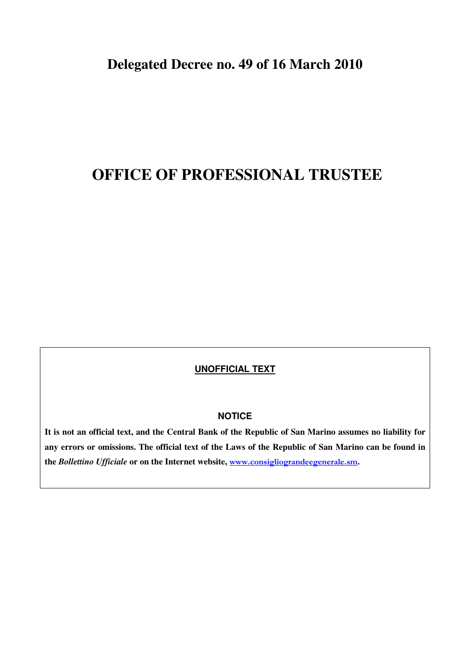# **OFFICE OF PROFESSIONAL TRUSTEE**

## **UNOFFICIAL TEXT**

## **NOTICE**

**It is not an official text, and the Central Bank of the Republic of San Marino assumes no liability for any errors or omissions. The official text of the Laws of the Republic of San Marino can be found in the** *Bollettino Ufficiale* **or on the Internet website,** www.consigliograndeegenerale.sm**.**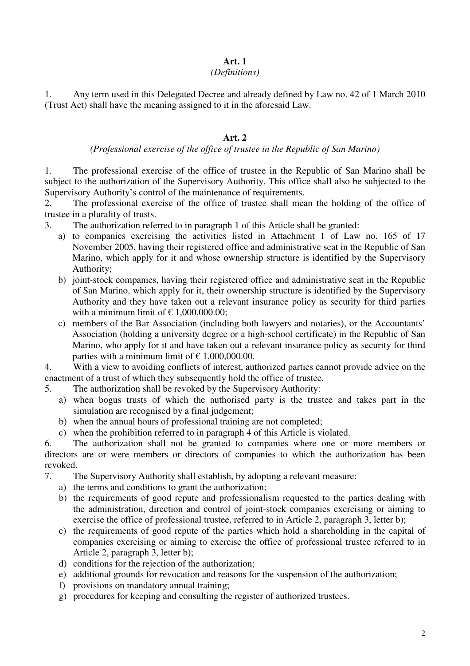# **Art. 1**

## *(Definitions)*

1. Any term used in this Delegated Decree and already defined by Law no. 42 of 1 March 2010 (Trust Act) shall have the meaning assigned to it in the aforesaid Law.

# **Art. 2**

## *(Professional exercise of the office of trustee in the Republic of San Marino)*

1. The professional exercise of the office of trustee in the Republic of San Marino shall be subject to the authorization of the Supervisory Authority. This office shall also be subjected to the Supervisory Authority's control of the maintenance of requirements.

2. The professional exercise of the office of trustee shall mean the holding of the office of trustee in a plurality of trusts.

- 3. The authorization referred to in paragraph 1 of this Article shall be granted:
	- a) to companies exercising the activities listed in Attachment 1 of Law no. 165 of 17 November 2005, having their registered office and administrative seat in the Republic of San Marino, which apply for it and whose ownership structure is identified by the Supervisory Authority;
	- b) joint-stock companies, having their registered office and administrative seat in the Republic of San Marino, which apply for it, their ownership structure is identified by the Supervisory Authority and they have taken out a relevant insurance policy as security for third parties with a minimum limit of  $\epsilon$  1,000,000.00;
	- c) members of the Bar Association (including both lawyers and notaries), or the Accountants' Association (holding a university degree or a high-school certificate) in the Republic of San Marino, who apply for it and have taken out a relevant insurance policy as security for third parties with a minimum limit of  $\epsilon$  1,000,000.00.

4. With a view to avoiding conflicts of interest, authorized parties cannot provide advice on the enactment of a trust of which they subsequently hold the office of trustee.

- 5. The authorization shall be revoked by the Supervisory Authority:
	- a) when bogus trusts of which the authorised party is the trustee and takes part in the simulation are recognised by a final judgement;
	- b) when the annual hours of professional training are not completed;
	- c) when the prohibition referred to in paragraph 4 of this Article is violated.

6. The authorization shall not be granted to companies where one or more members or directors are or were members or directors of companies to which the authorization has been revoked.

- 7. The Supervisory Authority shall establish, by adopting a relevant measure:
	- a) the terms and conditions to grant the authorization;
	- b) the requirements of good repute and professionalism requested to the parties dealing with the administration, direction and control of joint-stock companies exercising or aiming to exercise the office of professional trustee, referred to in Article 2, paragraph 3, letter b);
	- c) the requirements of good repute of the parties which hold a shareholding in the capital of companies exercising or aiming to exercise the office of professional trustee referred to in Article 2, paragraph 3, letter b);
	- d) conditions for the rejection of the authorization;
	- e) additional grounds for revocation and reasons for the suspension of the authorization;
	- f) provisions on mandatory annual training;
	- g) procedures for keeping and consulting the register of authorized trustees.